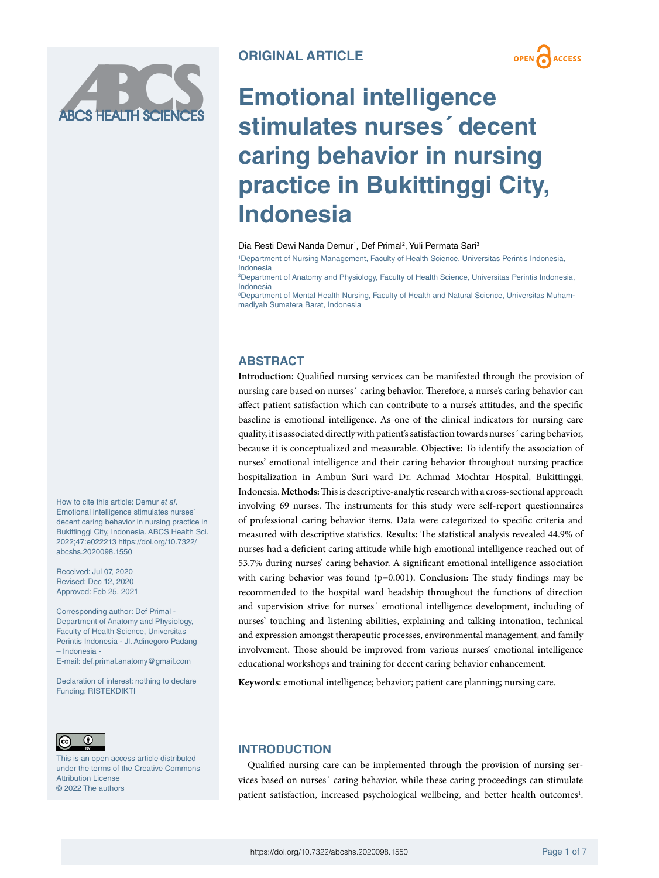



# **Emotional intelligence stimulates nurses´ decent caring behavior in nursing practice in Bukittinggi City, Indonesia**

#### Dia Resti Dewi Nanda Demur<sup>1</sup>, Def Primal<sup>2</sup>, Yuli Permata Sari<sup>3</sup>

1 Department of Nursing Management, Faculty of Health Science, Universitas Perintis Indonesia, Indonesia

2 Department of Anatomy and Physiology, Faculty of Health Science, Universitas Perintis Indonesia, Indonesia

3 Department of Mental Health Nursing, Faculty of Health and Natural Science, Universitas Muhammadiyah Sumatera Barat, Indonesia

# **ABSTRACT**

**Introduction:** Qualified nursing services can be manifested through the provision of nursing care based on nurses´ caring behavior. Therefore, a nurse's caring behavior can affect patient satisfaction which can contribute to a nurse's attitudes, and the specific baseline is emotional intelligence. As one of the clinical indicators for nursing care quality, it is associated directly with patient's satisfaction towards nurses´ caring behavior, because it is conceptualized and measurable. **Objective:** To identify the association of nurses' emotional intelligence and their caring behavior throughout nursing practice hospitalization in Ambun Suri ward Dr. Achmad Mochtar Hospital, Bukittinggi, Indonesia. **Methods:** This is descriptive-analytic research with a cross-sectional approach involving 69 nurses. The instruments for this study were self-report questionnaires of professional caring behavior items. Data were categorized to specific criteria and measured with descriptive statistics. **Results:** The statistical analysis revealed 44.9% of nurses had a deficient caring attitude while high emotional intelligence reached out of 53.7% during nurses' caring behavior. A significant emotional intelligence association with caring behavior was found (p=0.001). **Conclusion:** The study findings may be recommended to the hospital ward headship throughout the functions of direction and supervision strive for nurses´ emotional intelligence development, including of nurses' touching and listening abilities, explaining and talking intonation, technical and expression amongst therapeutic processes, environmental management, and family involvement. Those should be improved from various nurses' emotional intelligence educational workshops and training for decent caring behavior enhancement.

**Keywords:** emotional intelligence; behavior; patient care planning; nursing care.



Funding: RISTEKDIKTI

– Indonesia -

This is an open access article distributed under the terms of the Creative Commons Attribution License © 2022 The authors

How to cite this article: Demur *et al*. Emotional intelligence stimulates nurses´ decent caring behavior in nursing practice in Bukittinggi City, Indonesia. ABCS Health Sci. 2022;47:e022213 [https://doi.org/10.7322/](https://doi.org/10.7322/abcshs.2020098.1550)

Corresponding author: Def Primal - Department of Anatomy and Physiology, Faculty of Health Science, Universitas Perintis Indonesia - Jl. Adinegoro Padang

E-mail: [def.primal.anatomy@gmail.com](mailto:def.primal.anatomy@gmail.com) Declaration of interest: nothing to declare

[abcshs.2020098.1550](https://doi.org/10.7322/abcshs.2020098.1550) Received: Jul 07, 2020 Revised: Dec 12, 2020 Approved: Feb 25, 2021

# **INTRODUCTION**

Qualified nursing care can be implemented through the provision of nursing services based on nurses´ caring behavior, while these caring proceedings can stimulate patient satisfaction, increased psychological wellbeing, and better health outcomes<sup>1</sup>.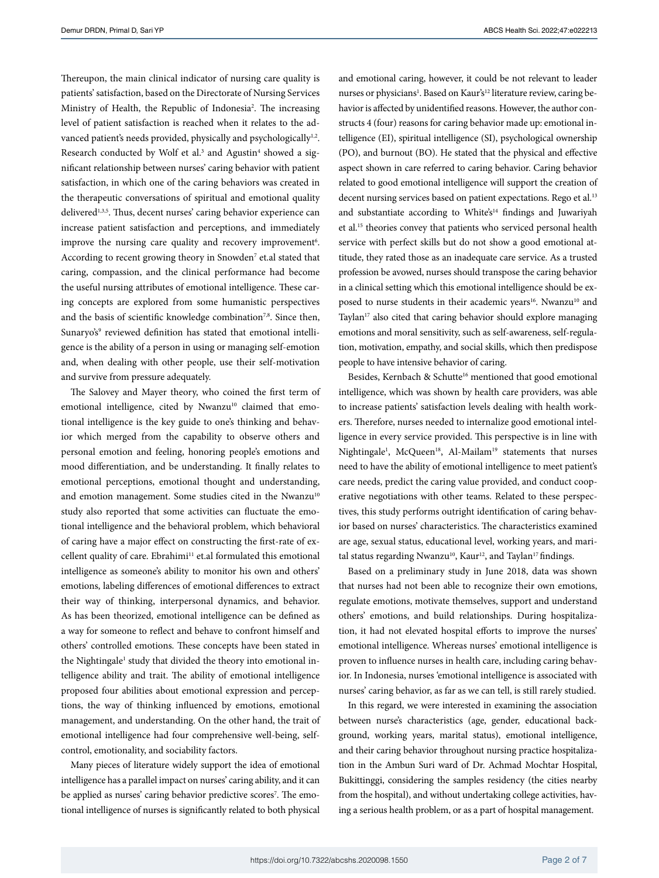Thereupon, the main clinical indicator of nursing care quality is patients' satisfaction, based on the Directorate of Nursing Services Ministry of Health, the Republic of Indonesia<sup>2</sup>. The increasing level of patient satisfaction is reached when it relates to the advanced patient's needs provided, physically and psychologically<sup>1,2</sup>. Research conducted by Wolf et al.<sup>3</sup> and Agustin<sup>4</sup> showed a significant relationship between nurses' caring behavior with patient satisfaction, in which one of the caring behaviors was created in the therapeutic conversations of spiritual and emotional quality delivered<sup>1,3,5</sup>. Thus, decent nurses' caring behavior experience can increase patient satisfaction and perceptions, and immediately improve the nursing care quality and recovery improvement<sup>6</sup>. According to recent growing theory in Snowden<sup>7</sup> [et.al](http://et.al) stated that caring, compassion, and the clinical performance had become the useful nursing attributes of emotional intelligence. These caring concepts are explored from some humanistic perspectives and the basis of scientific knowledge combination<sup>7,8</sup>. Since then, Sunaryo's<sup>9</sup> reviewed definition has stated that emotional intelligence is the ability of a person in using or managing self-emotion and, when dealing with other people, use their self-motivation and survive from pressure adequately.

The Salovey and Mayer theory, who coined the first term of emotional intelligence, cited by Nwanzu<sup>10</sup> claimed that emotional intelligence is the key guide to one's thinking and behavior which merged from the capability to observe others and personal emotion and feeling, honoring people's emotions and mood differentiation, and be understanding. It finally relates to emotional perceptions, emotional thought and understanding, and emotion management. Some studies cited in the Nwanzu<sup>10</sup> study also reported that some activities can fluctuate the emotional intelligence and the behavioral problem, which behavioral of caring have a major effect on constructing the first-rate of excellent quality of care. Ebrahimi<sup>11</sup> [et.al](http://et.al) formulated this emotional intelligence as someone's ability to monitor his own and others' emotions, labeling differences of emotional differences to extract their way of thinking, interpersonal dynamics, and behavior. As has been theorized, emotional intelligence can be defined as a way for someone to reflect and behave to confront himself and others' controlled emotions. These concepts have been stated in the Nightingale<sup>1</sup> study that divided the theory into emotional intelligence ability and trait. The ability of emotional intelligence proposed four abilities about emotional expression and perceptions, the way of thinking influenced by emotions, emotional management, and understanding. On the other hand, the trait of emotional intelligence had four comprehensive well-being, selfcontrol, emotionality, and sociability factors.

Many pieces of literature widely support the idea of emotional intelligence has a parallel impact on nurses' caring ability, and it can be applied as nurses' caring behavior predictive scores<sup>7</sup>. The emotional intelligence of nurses is significantly related to both physical and emotional caring, however, it could be not relevant to leader nurses or physicians<sup>1</sup>. Based on Kaur's<sup>12</sup> literature review, caring behavior is affected by unidentified reasons. However, the author constructs 4 (four) reasons for caring behavior made up: emotional intelligence (EI), spiritual intelligence (SI), psychological ownership (PO), and burnout (BO). He stated that the physical and effective aspect shown in care referred to caring behavior. Caring behavior related to good emotional intelligence will support the creation of decent nursing services based on patient expectations. Rego et al.<sup>13</sup> and substantiate according to White's<sup>14</sup> findings and Juwariyah et al.15 theories convey that patients who serviced personal health service with perfect skills but do not show a good emotional attitude, they rated those as an inadequate care service. As a trusted profession be avowed, nurses should transpose the caring behavior in a clinical setting which this emotional intelligence should be exposed to nurse students in their academic years<sup>16</sup>. Nwanzu<sup>10</sup> and Taylan<sup>17</sup> also cited that caring behavior should explore managing emotions and moral sensitivity, such as self-awareness, self-regulation, motivation, empathy, and social skills, which then predispose people to have intensive behavior of caring.

Besides, Kernbach & Schutte<sup>16</sup> mentioned that good emotional intelligence, which was shown by health care providers, was able to increase patients' satisfaction levels dealing with health workers. Therefore, nurses needed to internalize good emotional intelligence in every service provided. This perspective is in line with Nightingale<sup>1</sup>, McQueen<sup>18</sup>, Al-Mailam<sup>19</sup> statements that nurses need to have the ability of emotional intelligence to meet patient's care needs, predict the caring value provided, and conduct cooperative negotiations with other teams. Related to these perspectives, this study performs outright identification of caring behavior based on nurses' characteristics. The characteristics examined are age, sexual status, educational level, working years, and marital status regarding Nwanzu<sup>10</sup>, Kaur<sup>12</sup>, and Taylan<sup>17</sup> findings.

Based on a preliminary study in June 2018, data was shown that nurses had not been able to recognize their own emotions, regulate emotions, motivate themselves, support and understand others' emotions, and build relationships. During hospitalization, it had not elevated hospital efforts to improve the nurses' emotional intelligence. Whereas nurses' emotional intelligence is proven to influence nurses in health care, including caring behavior. In Indonesia, nurses 'emotional intelligence is associated with nurses' caring behavior, as far as we can tell, is still rarely studied.

In this regard, we were interested in examining the association between nurse's characteristics (age, gender, educational background, working years, marital status), emotional intelligence, and their caring behavior throughout nursing practice hospitalization in the Ambun Suri ward of Dr. Achmad Mochtar Hospital, Bukittinggi, considering the samples residency (the cities nearby from the hospital), and without undertaking college activities, having a serious health problem, or as a part of hospital management.

<https://doi.org/10.7322/abcshs.2020098.1550>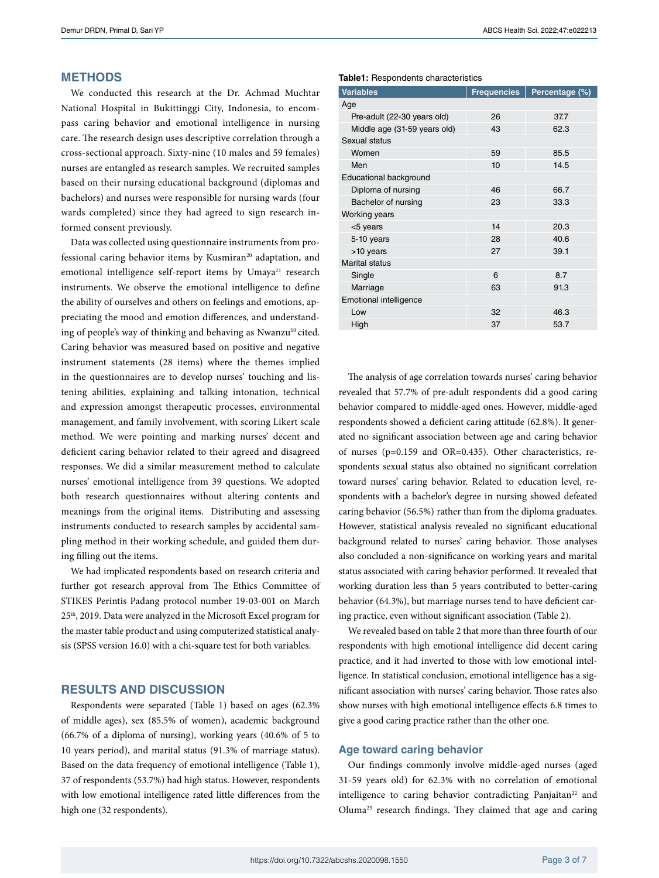## **METHODS**

We conducted this research at the Dr. Achmad Muchtar National Hospital in Bukittinggi City, Indonesia, to encompass caring behavior and emotional intelligence in nursing care. The research design uses descriptive correlation through a cross-sectional approach. Sixty-nine (10 males and 59 females) nurses are entangled as research samples. We recruited samples based on their nursing educational background (diplomas and bachelors) and nurses were responsible for nursing wards (four wards completed) since they had agreed to sign research informed consent previously.

Data was collected using questionnaire instruments from professional caring behavior items by Kusmiran<sup>20</sup> adaptation, and emotional intelligence self-report items by Umaya<sup>21</sup> research instruments. We observe the emotional intelligence to define the ability of ourselves and others on feelings and emotions, appreciating the mood and emotion differences, and understanding of people's way of thinking and behaving as Nwanzu $10$  cited. Caring behavior was measured based on positive and negative instrument statements (28 items) where the themes implied in the questionnaires are to develop nurses' touching and listening abilities, explaining and talking intonation, technical and expression amongst therapeutic processes, environmental management, and family involvement, with scoring Likert scale method. We were pointing and marking nurses' decent and deficient caring behavior related to their agreed and disagreed responses. We did a similar measurement method to calculate nurses' emotional intelligence from 39 questions. We adopted both research questionnaires without altering contents and meanings from the original items. Distributing and assessing instruments conducted to research samples by accidental sampling method in their working schedule, and guided them during filling out the items.

We had implicated respondents based on research criteria and further got research approval from The Ethics Committee of STIKES Perintis Padang protocol number 19-03-001 on March 25th, 2019. Data were analyzed in the Microsoft Excel program for the master table product and using computerized statistical analysis (SPSS version 16.0) with a chi-square test for both variables.

## **RESULTS AND DISCUSSION**

Respondents were separated (Table 1) based on ages (62.3% of middle ages), sex (85.5% of women), academic background (66.7% of a diploma of nursing), working years (40.6% of 5 to 10 years period), and marital status (91.3% of marriage status). Based on the data frequency of emotional intelligence (Table 1), 37 of respondents (53.7%) had high status. However, respondents with low emotional intelligence rated little differences from the high one (32 respondents).

#### **Table1:** Respondents characteristics

| <b>Variables</b>              | <b>Frequencies</b> | Percentage (%) |  |  |  |  |  |  |
|-------------------------------|--------------------|----------------|--|--|--|--|--|--|
| Age                           |                    |                |  |  |  |  |  |  |
| Pre-adult (22-30 years old)   | 26                 | 37.7           |  |  |  |  |  |  |
| Middle age (31-59 years old)  | 43                 | 62.3           |  |  |  |  |  |  |
| Sexual status                 |                    |                |  |  |  |  |  |  |
| Women                         | 59                 | 85.5           |  |  |  |  |  |  |
| Men                           | 10                 | 14.5           |  |  |  |  |  |  |
| Educational background        |                    |                |  |  |  |  |  |  |
| Diploma of nursing            | 46                 | 66.7           |  |  |  |  |  |  |
| Bachelor of nursing           | 23                 | 33.3           |  |  |  |  |  |  |
| <b>Working years</b>          |                    |                |  |  |  |  |  |  |
| <5 years                      | 14                 | 20.3           |  |  |  |  |  |  |
| 5-10 years                    | 28                 | 40.6           |  |  |  |  |  |  |
| >10 years                     | 27                 | 39.1           |  |  |  |  |  |  |
| <b>Marital status</b>         |                    |                |  |  |  |  |  |  |
| Single                        | 6                  | 8.7            |  |  |  |  |  |  |
| Marriage                      | 63                 | 91.3           |  |  |  |  |  |  |
| <b>Emotional intelligence</b> |                    |                |  |  |  |  |  |  |
| Low                           | 32                 | 46.3           |  |  |  |  |  |  |
| High                          | 37                 | 53.7           |  |  |  |  |  |  |

The analysis of age correlation towards nurses' caring behavior revealed that 57.7% of pre-adult respondents did a good caring behavior compared to middle-aged ones. However, middle-aged respondents showed a deficient caring attitude (62.8%). It generated no significant association between age and caring behavior of nurses (p=0.159 and OR=0.435). Other characteristics, respondents sexual status also obtained no significant correlation toward nurses' caring behavior. Related to education level, respondents with a bachelor's degree in nursing showed defeated caring behavior (56.5%) rather than from the diploma graduates. However, statistical analysis revealed no significant educational background related to nurses' caring behavior. Those analyses also concluded a non-significance on working years and marital status associated with caring behavior performed. It revealed that working duration less than 5 years contributed to better-caring behavior (64.3%), but marriage nurses tend to have deficient caring practice, even without significant association (Table 2).

We revealed based on table 2 that more than three fourth of our respondents with high emotional intelligence did decent caring practice, and it had inverted to those with low emotional intelligence. In statistical conclusion, emotional intelligence has a significant association with nurses' caring behavior. Those rates also show nurses with high emotional intelligence effects 6.8 times to give a good caring practice rather than the other one.

## **Age toward caring behavior**

Our findings commonly involve middle-aged nurses (aged 31-59 years old) for 62.3% with no correlation of emotional intelligence to caring behavior contradicting Panjaitan<sup>22</sup> and Oluma23 research findings. They claimed that age and caring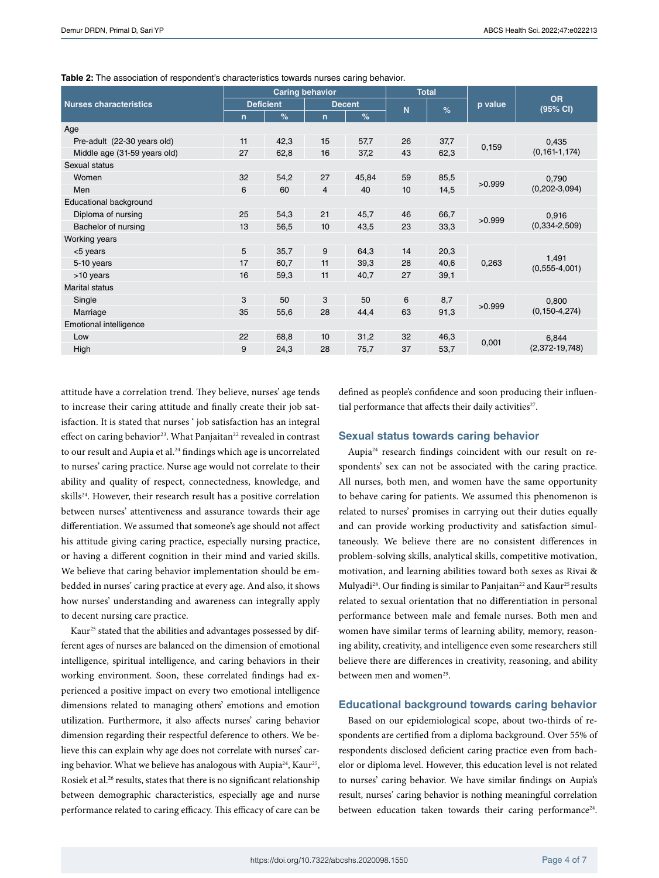|                               | <b>Caring behavior</b> |      |               | <b>Total</b> |    |      |         |                              |  |
|-------------------------------|------------------------|------|---------------|--------------|----|------|---------|------------------------------|--|
| <b>Nurses characteristics</b> | <b>Deficient</b>       |      | <b>Decent</b> |              | N  | %    | p value | <b>OR</b><br>(95% CI)        |  |
|                               | $\mathsf{n}$           | %    | $\mathsf{n}$  | %            |    |      |         |                              |  |
| Age                           |                        |      |               |              |    |      |         |                              |  |
| Pre-adult (22-30 years old)   | 11                     | 42,3 | 15            | 57,7         | 26 | 37,7 | 0,159   | 0,435<br>$(0, 161 - 1, 174)$ |  |
| Middle age (31-59 years old)  | 27                     | 62,8 | 16            | 37,2         | 43 | 62,3 |         |                              |  |
| Sexual status                 |                        |      |               |              |    |      |         |                              |  |
| Women                         | 32                     | 54,2 | 27            | 45,84        | 59 | 85,5 | >0.999  | 0,790<br>$(0,202-3,094)$     |  |
| Men                           | 6                      | 60   | 4             | 40           | 10 | 14,5 |         |                              |  |
| Educational background        |                        |      |               |              |    |      |         |                              |  |
| Diploma of nursing            | 25                     | 54,3 | 21            | 45,7         | 46 | 66,7 | >0.999  | 0,916<br>$(0,334 - 2,509)$   |  |
| Bachelor of nursing           | 13                     | 56,5 | 10            | 43,5         | 23 | 33,3 |         |                              |  |
| Working years                 |                        |      |               |              |    |      |         |                              |  |
| <5 years                      | 5                      | 35,7 | 9             | 64,3         | 14 | 20,3 | 0,263   | 1,491<br>$(0,555-4,001)$     |  |
| 5-10 years                    | 17                     | 60,7 | 11            | 39,3         | 28 | 40,6 |         |                              |  |
| >10 years                     | 16                     | 59,3 | 11            | 40,7         | 27 | 39,1 |         |                              |  |
| <b>Marital status</b>         |                        |      |               |              |    |      |         |                              |  |
| Single                        | 3                      | 50   | 3             | 50           | 6  | 8,7  | >0.999  | 0,800<br>$(0, 150 - 4, 274)$ |  |
| Marriage                      | 35                     | 55,6 | 28            | 44,4         | 63 | 91,3 |         |                              |  |
| Emotional intelligence        |                        |      |               |              |    |      |         |                              |  |
| Low                           | 22                     | 68,8 | 10            | 31,2         | 32 | 46,3 | 0,001   | 6,844                        |  |
| High                          | 9                      | 24,3 | 28            | 75,7         | 37 | 53,7 |         | $(2,372-19,748)$             |  |

**Table 2:** The association of respondent's characteristics towards nurses caring behavior.

attitude have a correlation trend. They believe, nurses' age tends to increase their caring attitude and finally create their job satisfaction. It is stated that nurses ' job satisfaction has an integral effect on caring behavior<sup>23</sup>. What Panjaitan<sup>22</sup> revealed in contrast to our result and Aupia et al.<sup>24</sup> findings which age is uncorrelated to nurses' caring practice. Nurse age would not correlate to their ability and quality of respect, connectedness, knowledge, and skills<sup>24</sup>. However, their research result has a positive correlation between nurses' attentiveness and assurance towards their age differentiation. We assumed that someone's age should not affect his attitude giving caring practice, especially nursing practice, or having a different cognition in their mind and varied skills. We believe that caring behavior implementation should be embedded in nurses' caring practice at every age. And also, it shows how nurses' understanding and awareness can integrally apply to decent nursing care practice.

Kaur25 stated that the abilities and advantages possessed by different ages of nurses are balanced on the dimension of emotional intelligence, spiritual intelligence, and caring behaviors in their working environment. Soon, these correlated findings had experienced a positive impact on every two emotional intelligence dimensions related to managing others' emotions and emotion utilization. Furthermore, it also affects nurses' caring behavior dimension regarding their respectful deference to others. We believe this can explain why age does not correlate with nurses' caring behavior. What we believe has analogous with Aupia<sup>24</sup>, Kaur<sup>25</sup>, Rosiek et al.<sup>26</sup> results, states that there is no significant relationship between demographic characteristics, especially age and nurse performance related to caring efficacy. This efficacy of care can be

defined as people's confidence and soon producing their influential performance that affects their daily activities<sup>27</sup>.

### **Sexual status towards caring behavior**

Aupia24 research findings coincident with our result on respondents' sex can not be associated with the caring practice. All nurses, both men, and women have the same opportunity to behave caring for patients. We assumed this phenomenon is related to nurses' promises in carrying out their duties equally and can provide working productivity and satisfaction simultaneously. We believe there are no consistent differences in problem-solving skills, analytical skills, competitive motivation, motivation, and learning abilities toward both sexes as Rivai & Mulyadi<sup>28</sup>. Our finding is similar to Panjaitan<sup>22</sup> and Kaur<sup>25</sup> results related to sexual orientation that no differentiation in personal performance between male and female nurses. Both men and women have similar terms of learning ability, memory, reasoning ability, creativity, and intelligence even some researchers still believe there are differences in creativity, reasoning, and ability between men and women<sup>29</sup>.

## **Educational background towards caring behavior**

Based on our epidemiological scope, about two-thirds of respondents are certified from a diploma background. Over 55% of respondents disclosed deficient caring practice even from bachelor or diploma level. However, this education level is not related to nurses' caring behavior. We have similar findings on Aupia's result, nurses' caring behavior is nothing meaningful correlation between education taken towards their caring performance<sup>24</sup>.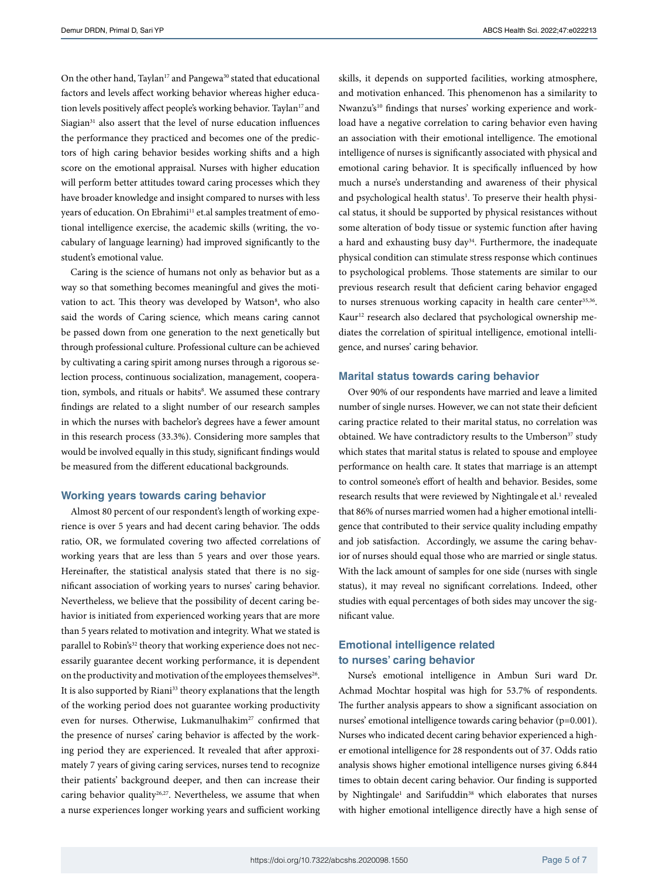On the other hand, Taylan<sup>17</sup> and Pangewa<sup>30</sup> stated that educational factors and levels affect working behavior whereas higher education levels positively affect people's working behavior. Taylan<sup>17</sup> and Siagian $31$  also assert that the level of nurse education influences the performance they practiced and becomes one of the predictors of high caring behavior besides working shifts and a high score on the emotional appraisal. Nurses with higher education will perform better attitudes toward caring processes which they have broader knowledge and insight compared to nurses with less years of education. On Ebrahimi<sup>11</sup> [et.al](http://et.al) samples treatment of emotional intelligence exercise, the academic skills (writing, the vocabulary of language learning) had improved significantly to the student's emotional value.

Caring is the science of humans not only as behavior but as a way so that something becomes meaningful and gives the motivation to act. This theory was developed by Watson<sup>8</sup>, who also said the words of Caring science*,* which means caring cannot be passed down from one generation to the next genetically but through professional culture. Professional culture can be achieved by cultivating a caring spirit among nurses through a rigorous selection process, continuous socialization, management, cooperation, symbols, and rituals or habits<sup>8</sup>. We assumed these contrary findings are related to a slight number of our research samples in which the nurses with bachelor's degrees have a fewer amount in this research process (33.3%). Considering more samples that would be involved equally in this study, significant findings would be measured from the different educational backgrounds.

## **Working years towards caring behavior**

Almost 80 percent of our respondent's length of working experience is over 5 years and had decent caring behavior. The odds ratio, OR, we formulated covering two affected correlations of working years that are less than 5 years and over those years. Hereinafter, the statistical analysis stated that there is no significant association of working years to nurses' caring behavior. Nevertheless, we believe that the possibility of decent caring behavior is initiated from experienced working years that are more than 5 years related to motivation and integrity. What we stated is parallel to Robin's<sup>32</sup> theory that working experience does not necessarily guarantee decent working performance, it is dependent on the productivity and motivation of the employees themselves<sup>26</sup>. It is also supported by Riani<sup>33</sup> theory explanations that the length of the working period does not guarantee working productivity even for nurses. Otherwise, Lukmanulhakim<sup>27</sup> confirmed that the presence of nurses' caring behavior is affected by the working period they are experienced. It revealed that after approximately 7 years of giving caring services, nurses tend to recognize their patients' background deeper, and then can increase their caring behavior quality<sup>26,27</sup>. Nevertheless, we assume that when a nurse experiences longer working years and sufficient working

skills, it depends on supported facilities, working atmosphere, and motivation enhanced. This phenomenon has a similarity to Nwanzu's<sup>10</sup> findings that nurses' working experience and workload have a negative correlation to caring behavior even having an association with their emotional intelligence. The emotional intelligence of nurses is significantly associated with physical and emotional caring behavior. It is specifically influenced by how much a nurse's understanding and awareness of their physical and psychological health status<sup>1</sup>. To preserve their health physical status, it should be supported by physical resistances without some alteration of body tissue or systemic function after having a hard and exhausting busy day<sup>34</sup>. Furthermore, the inadequate physical condition can stimulate stress response which continues to psychological problems. Those statements are similar to our previous research result that deficient caring behavior engaged to nurses strenuous working capacity in health care center<sup>35,36</sup>. Kaur<sup>12</sup> research also declared that psychological ownership mediates the correlation of spiritual intelligence, emotional intelligence, and nurses' caring behavior.

#### **Marital status towards caring behavior**

Over 90% of our respondents have married and leave a limited number of single nurses. However, we can not state their deficient caring practice related to their marital status, no correlation was obtained. We have contradictory results to the Umberson<sup>37</sup> study which states that marital status is related to spouse and employee performance on health care. It states that marriage is an attempt to control someone's effort of health and behavior. Besides, some research results that were reviewed by Nightingale et al.<sup>1</sup> revealed that 86% of nurses married women had a higher emotional intelligence that contributed to their service quality including empathy and job satisfaction. Accordingly, we assume the caring behavior of nurses should equal those who are married or single status. With the lack amount of samples for one side (nurses with single status), it may reveal no significant correlations. Indeed, other studies with equal percentages of both sides may uncover the significant value.

## **Emotional intelligence related to nurses' caring behavior**

Nurse's emotional intelligence in Ambun Suri ward Dr. Achmad Mochtar hospital was high for 53.7% of respondents. The further analysis appears to show a significant association on nurses' emotional intelligence towards caring behavior (p=0.001). Nurses who indicated decent caring behavior experienced a higher emotional intelligence for 28 respondents out of 37. Odds ratio analysis shows higher emotional intelligence nurses giving 6.844 times to obtain decent caring behavior. Our finding is supported by Nightingale<sup>1</sup> and Sarifuddin<sup>38</sup> which elaborates that nurses with higher emotional intelligence directly have a high sense of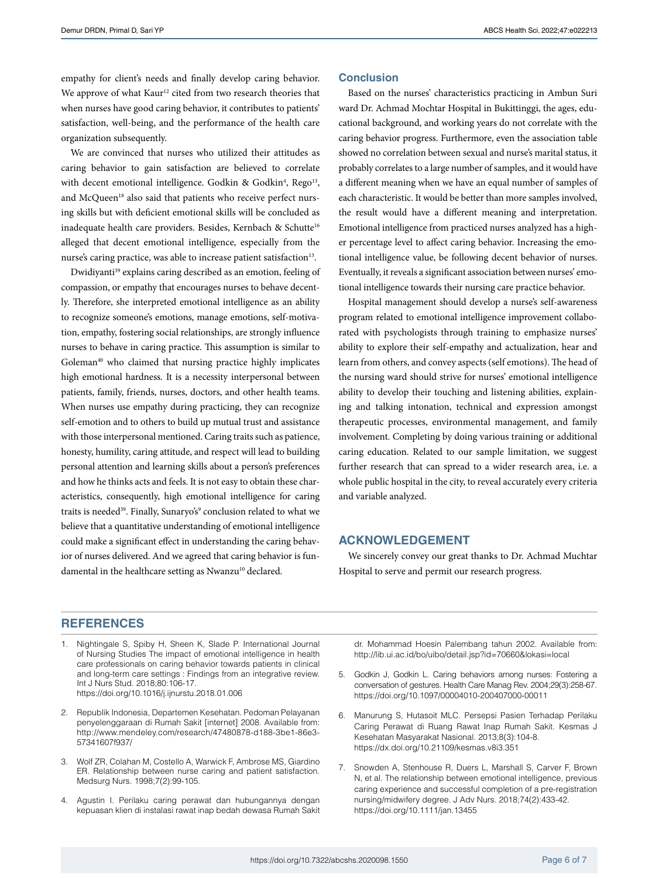empathy for client's needs and finally develop caring behavior. We approve of what Kaur<sup>12</sup> cited from two research theories that when nurses have good caring behavior, it contributes to patients' satisfaction, well-being, and the performance of the health care organization subsequently.

We are convinced that nurses who utilized their attitudes as caring behavior to gain satisfaction are believed to correlate with decent emotional intelligence. Godkin & Godkin<sup>4</sup>, Rego<sup>13</sup>, and McQueen<sup>18</sup> also said that patients who receive perfect nursing skills but with deficient emotional skills will be concluded as inadequate health care providers. Besides, Kernbach & Schutte<sup>16</sup> alleged that decent emotional intelligence, especially from the nurse's caring practice, was able to increase patient satisfaction<sup>13</sup>.

Dwidiyanti<sup>39</sup> explains caring described as an emotion, feeling of compassion, or empathy that encourages nurses to behave decently. Therefore, she interpreted emotional intelligence as an ability to recognize someone's emotions, manage emotions, self-motivation, empathy, fostering social relationships, are strongly influence nurses to behave in caring practice. This assumption is similar to Goleman<sup>40</sup> who claimed that nursing practice highly implicates high emotional hardness. It is a necessity interpersonal between patients, family, friends, nurses, doctors, and other health teams. When nurses use empathy during practicing, they can recognize self-emotion and to others to build up mutual trust and assistance with those interpersonal mentioned. Caring traits such as patience, honesty, humility, caring attitude, and respect will lead to building personal attention and learning skills about a person's preferences and how he thinks acts and feels. It is not easy to obtain these characteristics, consequently, high emotional intelligence for caring traits is needed<sup>39</sup>. Finally, Sunaryo's<sup>9</sup> conclusion related to what we believe that a quantitative understanding of emotional intelligence could make a significant effect in understanding the caring behavior of nurses delivered. And we agreed that caring behavior is fundamental in the healthcare setting as Nwanzu<sup>10</sup> declared.

## **Conclusion**

Based on the nurses' characteristics practicing in Ambun Suri ward Dr. Achmad Mochtar Hospital in Bukittinggi, the ages, educational background, and working years do not correlate with the caring behavior progress. Furthermore, even the association table showed no correlation between sexual and nurse's marital status, it probably correlates to a large number of samples, and it would have a different meaning when we have an equal number of samples of each characteristic. It would be better than more samples involved, the result would have a different meaning and interpretation. Emotional intelligence from practiced nurses analyzed has a higher percentage level to affect caring behavior. Increasing the emotional intelligence value, be following decent behavior of nurses. Eventually, it reveals a significant association between nurses' emotional intelligence towards their nursing care practice behavior.

Hospital management should develop a nurse's self-awareness program related to emotional intelligence improvement collaborated with psychologists through training to emphasize nurses' ability to explore their self-empathy and actualization, hear and learn from others, and convey aspects (self emotions). The head of the nursing ward should strive for nurses' emotional intelligence ability to develop their touching and listening abilities, explaining and talking intonation, technical and expression amongst therapeutic processes, environmental management, and family involvement. Completing by doing various training or additional caring education. Related to our sample limitation, we suggest further research that can spread to a wider research area, i.e. a whole public hospital in the city, to reveal accurately every criteria and variable analyzed.

# **ACKNOWLEDGEMENT**

We sincerely convey our great thanks to Dr. Achmad Muchtar Hospital to serve and permit our research progress.

## **REFERENCES**

- 1. Nightingale S, Spiby H, Sheen K, Slade P. International Journal of Nursing Studies The impact of emotional intelligence in health care professionals on caring behavior towards patients in clinical and long-term care settings : Findings from an integrative review. Int J Nurs Stud. 2018;80:106-17. <https://doi.org/10.1016/j.ijnurstu.2018.01.006>
- 2. Republik Indonesia, Departemen Kesehatan. Pedoman Pelayanan penyelenggaraan di Rumah Sakit [internet] 2008. Available from: [http://www.mendeley.com/research/47480878-d188-3be1-86e3-](http://www.mendeley.com/research/47480878-d188-3be1-86e3-57341607f937/) [57341607f937/](http://www.mendeley.com/research/47480878-d188-3be1-86e3-57341607f937/)
- 3. Wolf ZR, Colahan M, Costello A, Warwick F, Ambrose MS, Giardino ER. Relationship between nurse caring and patient satisfaction. Medsurg Nurs. 1998;7(2):99-105.
- 4. Agustin I. Perilaku caring perawat dan hubungannya dengan kepuasan klien di instalasi rawat inap bedah dewasa Rumah Sakit

dr. Mohammad Hoesin Palembang tahun 2002. Available from: <http://lib.ui.ac.id/bo/uibo/detail.jsp?id=70660&lokasi=local>

- 5. Godkin J, Godkin L. Caring behaviors among nurses: Fostering a conversation of gestures. Health Care Manag Rev. 2004;29(3):258-67. <https://doi.org/10.1097/00004010-200407000-00011>
- 6. Manurung S, Hutasoit MLC. Persepsi Pasien Terhadap Perilaku Caring Perawat di Ruang Rawat Inap Rumah Sakit. Kesmas J Kesehatan Masyarakat Nasional. 2013;8(3):104-8. <https://dx.doi.org/10.21109/kesmas.v8i3.351>
- 7. Snowden A, Stenhouse R, Duers L, Marshall S, Carver F, Brown N, et al. The relationship between emotional intelligence, previous caring experience and successful completion of a pre-registration nursing/midwifery degree. J Adv Nurs. 2018;74(2):433-42. <https://doi.org/10.1111/jan.13455>